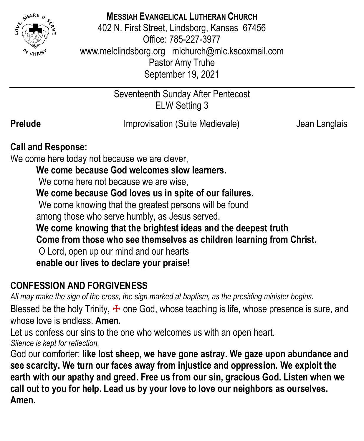

## **MESSIAH EVANGELICAL LUTHERAN CHURCH**

402 N. First Street, Lindsborg, Kansas 67456 Office: 785-227-3977 [www.melclindsborg.org](http://www.melclindsborg.org/) [mlchurch@mlc.kscoxmail.com](mailto:mlchurch@mlc.kscoxmail.com) Pastor Amy Truhe September 19, 2021

> Seventeenth Sunday After Pentecost ELW Setting 3

**Prelude IMPROVISATION** (Suite Medievale) *Jean Langlais* (Suite Medievale)

## **Call and Response:**

We come here today not because we are clever,

## **We come because God welcomes slow learners.**

We come here not because we are wise.

**We come because God loves us in spite of our failures.**

We come knowing that the greatest persons will be found

among those who serve humbly, as Jesus served.

**We come knowing that the brightest ideas and the deepest truth**

**Come from those who see themselves as children learning from Christ.**

O Lord, open up our mind and our hearts

**enable our lives to declare your praise!**

## **CONFESSION AND FORGIVENESS**

*All may make the sign of the cross, the sign marked at baptism, as the presiding minister begins.*

Blessed be the holy Trinity,  $\pm$  one God, whose teaching is life, whose presence is sure, and whose love is endless. **Amen.**

Let us confess our sins to the one who welcomes us with an open heart. *Silence is kept for reflection.*

God our comforter: **like lost sheep, we have gone astray. We gaze upon abundance and see scarcity. We turn our faces away from injustice and oppression. We exploit the earth with our apathy and greed. Free us from our sin, gracious God. Listen when we call out to you for help. Lead us by your love to love our neighbors as ourselves. Amen.**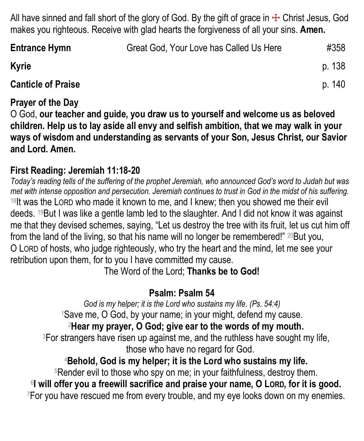All have sinned and fall short of the glory of God. By the gift of grace in  $\pm$  Christ Jesus, God makes you righteous. Receive with glad hearts the forgiveness of all your sins. **Amen.**

| <b>Entrance Hymn</b>      | Great God, Your Love has Called Us Here | #358   |
|---------------------------|-----------------------------------------|--------|
| <b>Kyrie</b>              |                                         | p. 138 |
| <b>Canticle of Praise</b> |                                         | p. 140 |

#### **Prayer of the Day**

O God, **our teacher and guide, you draw us to yourself and welcome us as beloved children. Help us to lay aside all envy and selfish ambition, that we may walk in your ways of wisdom and understanding as servants of your Son, Jesus Christ, our Savior and Lord. Amen.**

## **First Reading: Jeremiah 11:18-20**

*Today's reading tells of the suffering of the prophet Jeremiah, who announced God's word to Judah but was met with intense opposition and persecution. Jeremiah continues to trust in God in the midst of his suffering.* <sup>18</sup>It was the LORD who made it known to me, and I knew; then you showed me their evil deeds. 19But I was like a gentle lamb led to the slaughter. And I did not know it was against me that they devised schemes, saying, "Let us destroy the tree with its fruit, let us cut him off from the land of the living, so that his name will no longer be remembered!" 20But you, O LORD of hosts, who judge righteously, who try the heart and the mind, let me see your retribution upon them, for to you I have committed my cause.

The Word of the Lord; **Thanks be to God!**

## **Psalm: Psalm 54**

*God is my helper; it is the Lord who sustains my life. (Ps. 54:4)* <sup>1</sup>Save me, O God, by your name; in your might, defend my cause.

## <sup>2</sup>**Hear my prayer, O God; give ear to the words of my mouth.**

<sup>3</sup>For strangers have risen up against me, and the ruthless have sought my life, those who have no regard for God.

## <sup>4</sup>**Behold, God is my helper; it is the Lord who sustains my life.**

<sup>5</sup>Render evil to those who spy on me; in your faithfulness, destroy them.

6 **I will offer you a freewill sacrifice and praise your name, O LORD, for it is good.** <sup>7</sup>For you have rescued me from every trouble, and my eye looks down on my enemies.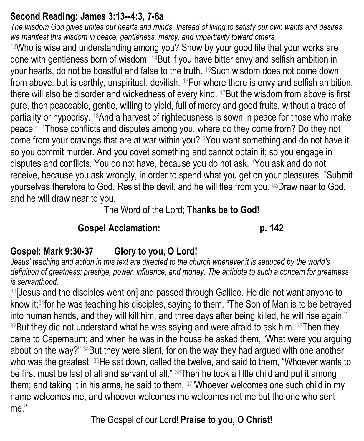## **Second Reading: James 3:13--4:3, 7-8a**

*The wisdom God gives unites our hearts and minds. Instead of living to satisfy our own wants and desires, we manifest this wisdom in peace, gentleness, mercy, and impartiality toward others.*

<sup>13</sup>Who is wise and understanding among you? Show by your good life that your works are done with gentleness born of wisdom. 14But if you have bitter envy and selfish ambition in your hearts, do not be boastful and false to the truth. 15Such wisdom does not come down from above, but is earthly, unspiritual, devilish. 16For where there is envy and selfish ambition, there will also be disorder and wickedness of every kind. 17But the wisdom from above is first pure, then peaceable, gentle, willing to yield, full of mercy and good fruits, without a trace of partiality or hypocrisy. 18And a harvest of righteousness is sown in peace for those who make peace.4: <sup>1</sup>Those conflicts and disputes among you, where do they come from? Do they not come from your cravings that are at war within you? 2You want something and do not have it; so you commit murder. And you covet something and cannot obtain it; so you engage in disputes and conflicts. You do not have, because you do not ask. 3You ask and do not receive, because you ask wrongly, in order to spend what you get on your pleasures. 7Submit yourselves therefore to God. Resist the devil, and he will flee from you. 8aDraw near to God, and he will draw near to you.

The Word of the Lord; **Thanks be to God!**

## **Gospel Acclamation: p. 142**

# **Gospel: Mark 9:30-37 Glory to you, O Lord!**

*Jesus' teaching and action in this text are directed to the church whenever it is seduced by the world's definition of greatness: prestige, power, influence, and money. The antidote to such a concern for greatness is servanthood.*

<sup>30</sup>[Jesus and the disciples went on] and passed through Galilee. He did not want anyone to know it;31for he was teaching his disciples, saying to them, "The Son of Man is to be betrayed into human hands, and they will kill him, and three days after being killed, he will rise again."  $32$ But they did not understand what he was saying and were afraid to ask him.  $33$ Then they came to Capernaum; and when he was in the house he asked them, "What were you arguing about on the way?" 34But they were silent, for on the way they had argued with one another who was the greatest. <sup>35</sup>He sat down, called the twelve, and said to them, "Whoever wants to be first must be last of all and servant of all." 36Then he took a little child and put it among them; and taking it in his arms, he said to them, 37"Whoever welcomes one such child in my name welcomes me, and whoever welcomes me welcomes not me but the one who sent me."

The Gospel of our Lord! **Praise to you, O Christ!**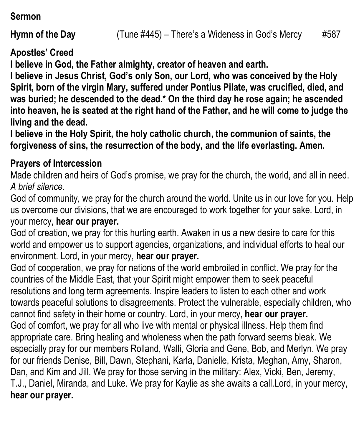**Sermon**

**Apostles' Creed**

**I believe in God, the Father almighty, creator of heaven and earth.**

**I believe in Jesus Christ, God's only Son, our Lord, who was conceived by the Holy Spirit, born of the virgin Mary, suffered under Pontius Pilate, was crucified, died, and was buried; he descended to the dead.\* On the third day he rose again; he ascended into heaven, he is seated at the right hand of the Father, and he will come to judge the living and the dead.**

**I believe in the Holy Spirit, the holy catholic church, the communion of saints, the forgiveness of sins, the resurrection of the body, and the life everlasting. Amen.**

#### **Prayers of Intercession**

Made children and heirs of God's promise, we pray for the church, the world, and all in need. *A brief silence.*

God of community, we pray for the church around the world. Unite us in our love for you. Help us overcome our divisions, that we are encouraged to work together for your sake. Lord, in your mercy, **hear our prayer.**

God of creation, we pray for this hurting earth. Awaken in us a new desire to care for this world and empower us to support agencies, organizations, and individual efforts to heal our environment. Lord, in your mercy, **hear our prayer.**

God of cooperation, we pray for nations of the world embroiled in conflict. We pray for the countries of the Middle East, that your Spirit might empower them to seek peaceful resolutions and long term agreements. Inspire leaders to listen to each other and work towards peaceful solutions to disagreements. Protect the vulnerable, especially children, who cannot find safety in their home or country. Lord, in your mercy, **hear our prayer.** God of comfort, we pray for all who live with mental or physical illness. Help them find appropriate care. Bring healing and wholeness when the path forward seems bleak. We especially pray for our members Rolland, Walli, Gloria and Gene, Bob, and Merlyn. We pray for our friends Denise, Bill, Dawn, Stephani, Karla, Danielle, Krista, Meghan, Amy, Sharon, Dan, and Kim and Jill. We pray for those serving in the military: Alex, Vicki, Ben, Jeremy, T.J., Daniel, Miranda, and Luke. We pray for Kaylie as she awaits a call.Lord, in your mercy, **hear our prayer.**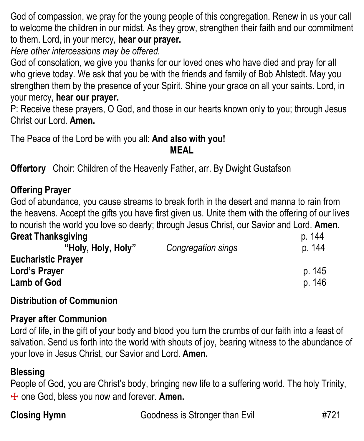God of compassion, we pray for the young people of this congregation. Renew in us your call to welcome the children in our midst. As they grow, strengthen their faith and our commitment to them. Lord, in your mercy, **hear our prayer.**

*Here other intercessions may be offered.*

God of consolation, we give you thanks for our loved ones who have died and pray for all who grieve today. We ask that you be with the friends and family of Bob Ahlstedt. May you strengthen them by the presence of your Spirit. Shine your grace on all your saints. Lord, in your mercy, **hear our prayer.**

P: Receive these prayers, O God, and those in our hearts known only to you; through Jesus Christ our Lord. **Amen.**

The Peace of the Lord be with you all: **And also with you! MEAL**

**Offertory** Choir: Children of the Heavenly Father, arr. By Dwight Gustafson

## **Offering Prayer**

God of abundance, you cause streams to break forth in the desert and manna to rain from the heavens. Accept the gifts you have first given us. Unite them with the offering of our lives to nourish the world you love so dearly; through Jesus Christ, our Savior and Lord. **Amen.**

#### **Great Thanksgiving**  p. 144

| "Holy, Holy, Holy"                         | Congregation sings | p. 144 |
|--------------------------------------------|--------------------|--------|
| <b>Eucharistic Prayer</b><br>Lord's Prayer |                    | p. 145 |
| <b>Lamb of God</b>                         |                    | p. 146 |

### **Distribution of Communion**

#### **Prayer after Communion**

Lord of life, in the gift of your body and blood you turn the crumbs of our faith into a feast of salvation. Send us forth into the world with shouts of joy, bearing witness to the abundance of your love in Jesus Christ, our Savior and Lord. **Amen.**

## **Blessing**

People of God, you are Christ's body, bringing new life to a suffering world. The holy Trinity, ☩ one God, bless you now and forever. **Amen.**

**Closing Hymn** Goodness is Stronger than Evil #721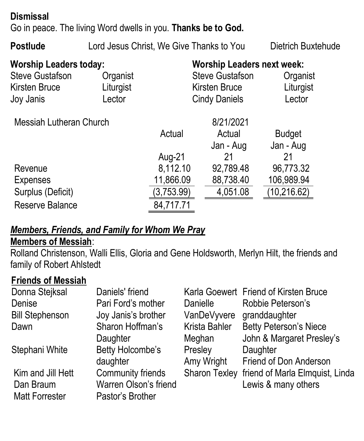## **Dismissal**

Go in peace. The living Word dwells in you. **Thanks be to God.**

**Postlude** Lord Jesus Christ, We Give Thanks to You Dietrich Buxtehude

| <b>Worship Leaders today:</b><br><b>Steve Gustafson</b><br><b>Kirsten Bruce</b><br>Joy Janis | Organist<br>Liturgist<br>Lector |            | <b>Worship Leaders next week:</b><br><b>Steve Gustafson</b><br>Kirsten Bruce<br><b>Cindy Daniels</b> | Organist<br>Liturgist<br>Lector |
|----------------------------------------------------------------------------------------------|---------------------------------|------------|------------------------------------------------------------------------------------------------------|---------------------------------|
| Messiah Lutheran Church                                                                      |                                 | Actual     | 8/21/2021<br>Actual<br>Jan - Aug                                                                     | <b>Budget</b><br>Jan - Aug      |
|                                                                                              |                                 | Aug-21     | 21                                                                                                   | 21                              |
| Revenue                                                                                      |                                 | 8,112.10   | 92,789.48                                                                                            | 96,773.32                       |
| <b>Expenses</b>                                                                              |                                 | 11,866.09  | 88,738.40                                                                                            | 106,989.94                      |
| Surplus (Deficit)                                                                            |                                 | (3,753.99) | 4,051.08                                                                                             | (10, 216.62)                    |
| Reserve Balance                                                                              |                                 | 84,717.71  |                                                                                                      |                                 |

#### *Members, Friends, and Family for Whom We Pray*  **Members of Messiah**:

Rolland Christenson, Walli Ellis, Gloria and Gene Holdsworth, Merlyn Hilt, the friends and family of Robert Ahlstedt

#### **Friends of Messiah**

| Donna Stejksal         | Daniels' friend       |                      | Karla Goewert Friend of Kirsten Bruce         |
|------------------------|-----------------------|----------------------|-----------------------------------------------|
| Denise                 | Pari Ford's mother    | Danielle             | Robbie Peterson's                             |
| <b>Bill Stephenson</b> | Joy Janis's brother   |                      | VanDeVyvere granddaughter                     |
| Dawn                   | Sharon Hoffman's      | <b>Krista Bahler</b> | <b>Betty Peterson's Niece</b>                 |
|                        | Daughter              | Meghan               | John & Margaret Presley's                     |
| Stephani White         | Betty Holcombe's      | Presley              | Daughter                                      |
|                        | daughter              | Amy Wright           | Friend of Don Anderson                        |
| Kim and Jill Hett      | Community friends     |                      | Sharon Texley friend of Marla Elmquist, Linda |
| Dan Braum              | Warren Olson's friend |                      | Lewis & many others                           |
| <b>Matt Forrester</b>  | Pastor's Brother      |                      |                                               |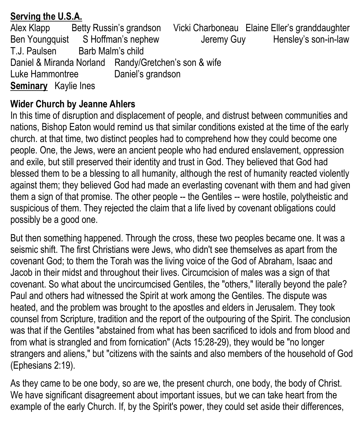## **Serving the U.S.A.**

Alex Klapp Betty Russin's grandson Vicki Charboneau Elaine Eller's granddaughter Ben Youngquist S Hoffman's nephew Jeremy Guy Hensley's son-in-law T.J. Paulsen Barb Malm's child Daniel & Miranda Norland Randy/Gretchen's son & wife Luke Hammontree Daniel's grandson **Seminary** Kaylie Ines

## **Wider Church by Jeanne Ahlers**

In this time of disruption and displacement of people, and distrust between communities and nations, Bishop Eaton would remind us that similar conditions existed at the time of the early church. at that time, two distinct peoples had to comprehend how they could become one people. One, the Jews, were an ancient people who had endured enslavement, oppression and exile, but still preserved their identity and trust in God. They believed that God had blessed them to be a blessing to all humanity, although the rest of humanity reacted violently against them; they believed God had made an everlasting covenant with them and had given them a sign of that promise. The other people -- the Gentiles -- were hostile, polytheistic and suspicious of them. They rejected the claim that a life lived by covenant obligations could possibly be a good one.

But then something happened. Through the cross, these two peoples became one. It was a seismic shift. The first Christians were Jews, who didn't see themselves as apart from the covenant God; to them the Torah was the living voice of the God of Abraham, Isaac and Jacob in their midst and throughout their lives. Circumcision of males was a sign of that covenant. So what about the uncircumcised Gentiles, the "others," literally beyond the pale? Paul and others had witnessed the Spirit at work among the Gentiles. The dispute was heated, and the problem was brought to the apostles and elders in Jerusalem. They took counsel from Scripture, tradition and the report of the outpouring of the Spirit. The conclusion was that if the Gentiles "abstained from what has been sacrificed to idols and from blood and from what is strangled and from fornication" (Acts 15:28-29), they would be "no longer strangers and aliens," but "citizens with the saints and also members of the household of God (Ephesians 2:19).

As they came to be one body, so are we, the present church, one body, the body of Christ. We have significant disagreement about important issues, but we can take heart from the example of the early Church. If, by the Spirit's power, they could set aside their differences,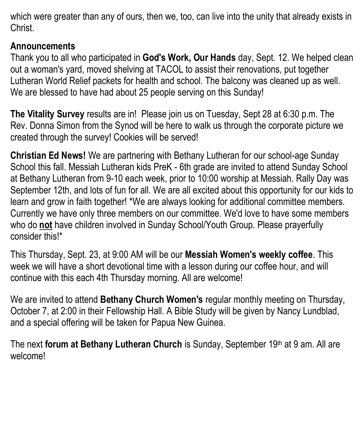which were greater than any of ours, then we, too, can live into the unity that already exists in Christ.

#### **Announcements**

Thank you to all who participated in **God's Work, Our Hands** day, Sept. 12. We helped clean out a woman's yard, moved shelving at TACOL to assist their renovations, put together Lutheran World Relief packets for health and school. The balcony was cleaned up as well. We are blessed to have had about 25 people serving on this Sunday!

**The Vitality Survey** results are in! Please join us on Tuesday, Sept 28 at 6:30 p.m. The Rev. Donna Simon from the Synod will be here to walk us through the corporate picture we created through the survey! Cookies will be served!

**Christian Ed News!** We are partnering with Bethany Lutheran for our school-age Sunday School this fall. Messiah Lutheran kids PreK - 6th grade are invited to attend Sunday School at Bethany Lutheran from 9-10 each week, prior to 10:00 worship at Messiah. Rally Day was September 12th, and lots of fun for all. We are all excited about this opportunity for our kids to learn and grow in faith together! \*We are always looking for additional committee members. Currently we have only three members on our committee. We'd love to have some members who do **not** have children involved in Sunday School/Youth Group. Please prayerfully consider this!\*

This Thursday, Sept. 23, at 9:00 AM will be our **Messiah Women's weekly coffee**. This week we will have a short devotional time with a lesson during our coffee hour, and will continue with this each 4th Thursday morning. All are welcome!

We are invited to attend **Bethany Church Women's** regular monthly meeting on Thursday, October 7, at 2:00 in their Fellowship Hall. A Bible Study will be given by Nancy Lundblad, and a special offering will be taken for Papua New Guinea.

The next **forum at Bethany Lutheran Church** is Sunday, September 19<sup>th</sup> at 9 am. All are welcome!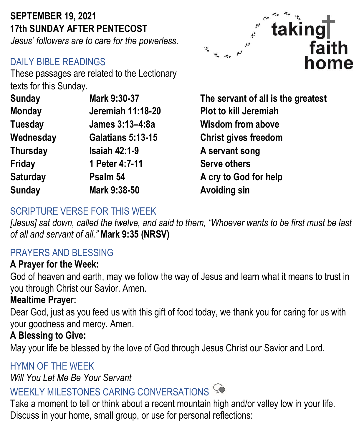# **SEPTEMBER 19, 2021 17th SUNDAY AFTER PENTECOST**

*Jesus' followers are to care for the powerless.* 

## DAILY BIBLE READINGS

These passages are related to the Lectionary texts for this Sunday.

| <b>Sunday</b>   | Mark 9:30-37             |
|-----------------|--------------------------|
| <b>Monday</b>   | <b>Jeremiah 11:18-20</b> |
| <b>Tuesday</b>  | James 3:13-4:8a          |
| Wednesday       | <b>Galatians 5:13-15</b> |
| <b>Thursday</b> | <b>Isaiah 42:1-9</b>     |
| Friday          | 1 Peter 4:7-11           |
| <b>Saturday</b> | Psalm 54                 |
| <b>Sunday</b>   | Mark 9:38-50             |
|                 |                          |



The servant of all is the greatest **Plot to kill Jeremiah Wisdom from above Christ gives freedom A servant song Serve others A cry to God for help Avoiding sin** 

## SCRIPTURE VERSE FOR THIS WEEK

*[Jesus] sat down, called the twelve, and said to them, "Whoever wants to be first must be last of all and servant of all."* **Mark 9:35 (NRSV)**

## PRAYERS AND BLESSING

## **A Prayer for the Week:**

God of heaven and earth, may we follow the way of Jesus and learn what it means to trust in you through Christ our Savior. Amen.

## **Mealtime Prayer:**

Dear God, just as you feed us with this gift of food today, we thank you for caring for us with your goodness and mercy. Amen.

## **A Blessing to Give:**

May your life be blessed by the love of God through Jesus Christ our Savior and Lord.

## HYMN OF THE WEEK

*Will You Let Me Be Your Servant*

# WEEKLY MILESTONES CARING CONVERSATIONS

Take a moment to tell or think about a recent mountain high and/or valley low in your life. Discuss in your home, small group, or use for personal reflections: